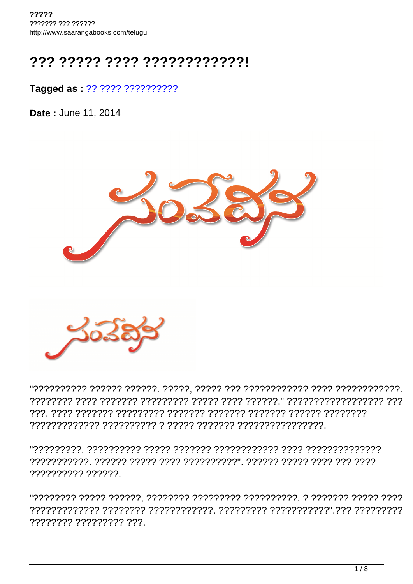## ??? ????? ???? ????????????!

Tagged as : ?? ???? ???????????

Date: June 11, 2014





?????????? ??????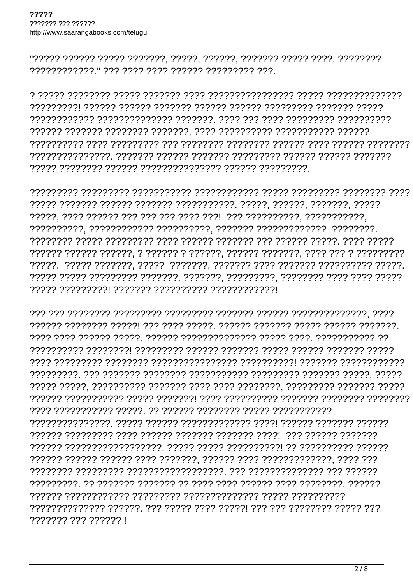7777777 777 777777 1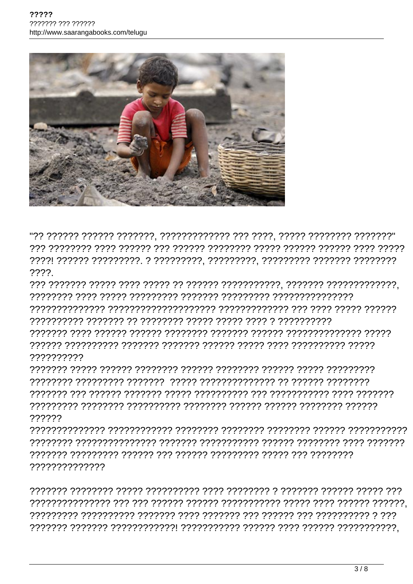

????

7777777777

??????

??????????????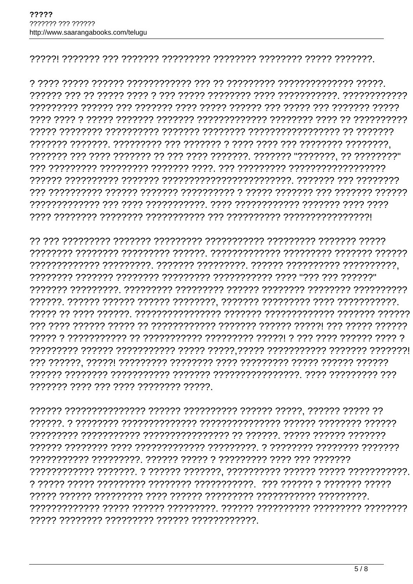יוויון ווינין ויינויון וויוויוויון וויוויוויון וויוויוויון וויוויון וויוויוויון וויוויון ווי ??????? ???? ??? ???? ???????? ?????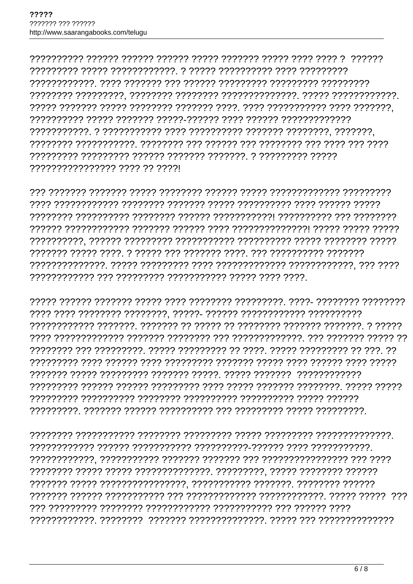7777777777777777 7777 77 77771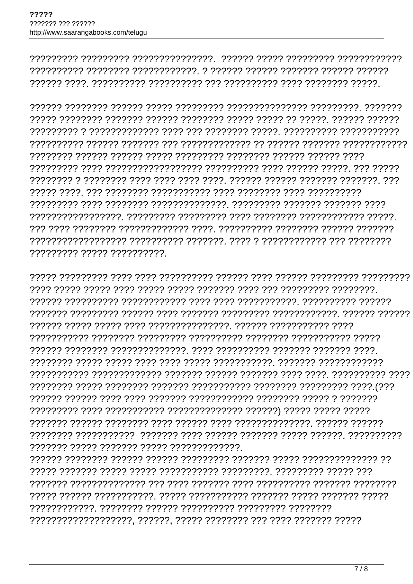777777777 77777 7777777777